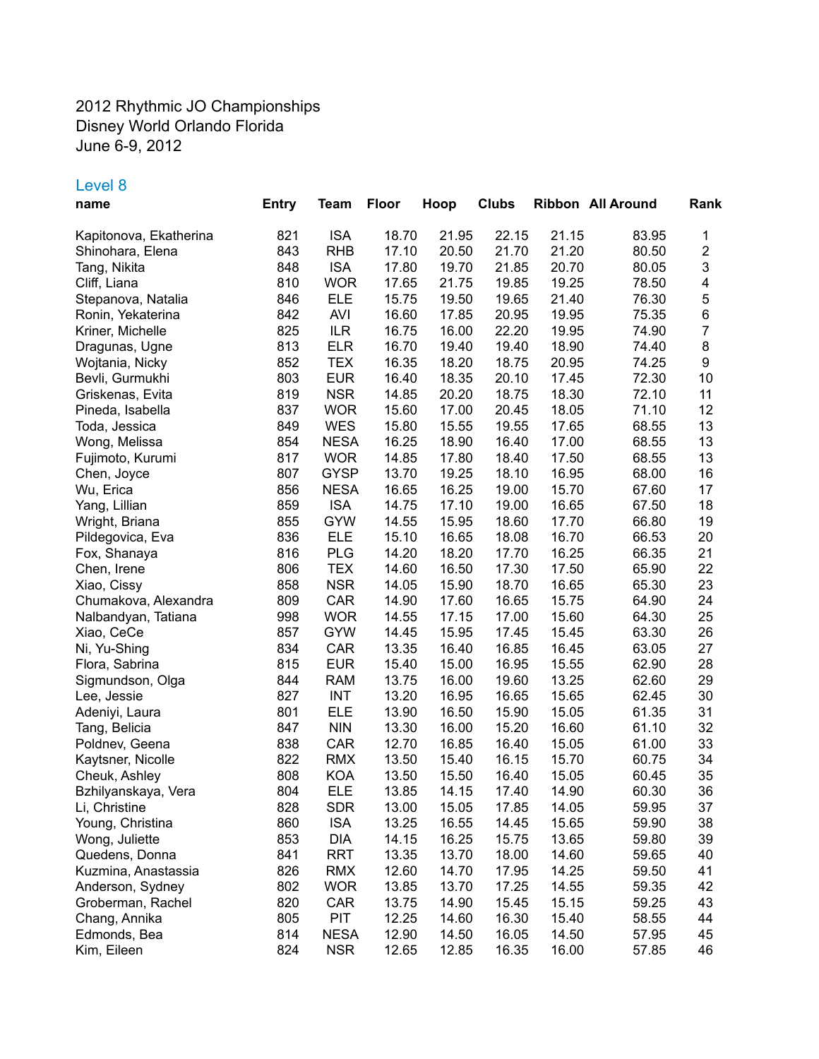## 2012 Rhythmic JO Championships Disney World Orlando Florida June 6-9, 2012

## Level 8

| name                   | <b>Entry</b> | Team        | <b>Floor</b> | Hoop  | <b>Clubs</b> |       | Ribbon All Around | Rank                    |
|------------------------|--------------|-------------|--------------|-------|--------------|-------|-------------------|-------------------------|
| Kapitonova, Ekatherina | 821          | <b>ISA</b>  | 18.70        | 21.95 | 22.15        | 21.15 | 83.95             | 1                       |
| Shinohara, Elena       | 843          | <b>RHB</b>  | 17.10        | 20.50 | 21.70        | 21.20 | 80.50             | $\overline{\mathbf{c}}$ |
| Tang, Nikita           | 848          | <b>ISA</b>  | 17.80        | 19.70 | 21.85        | 20.70 | 80.05             | 3                       |
| Cliff, Liana           | 810          | <b>WOR</b>  | 17.65        | 21.75 | 19.85        | 19.25 | 78.50             | 4                       |
| Stepanova, Natalia     | 846          | <b>ELE</b>  | 15.75        | 19.50 | 19.65        | 21.40 | 76.30             | 5                       |
| Ronin, Yekaterina      | 842          | <b>AVI</b>  | 16.60        | 17.85 | 20.95        | 19.95 | 75.35             | 6                       |
| Kriner, Michelle       | 825          | <b>ILR</b>  | 16.75        | 16.00 | 22.20        | 19.95 | 74.90             | $\overline{7}$          |
| Dragunas, Ugne         | 813          | <b>ELR</b>  | 16.70        | 19.40 | 19.40        | 18.90 | 74.40             | $\bf 8$                 |
|                        | 852          | <b>TEX</b>  | 16.35        | 18.20 | 18.75        | 20.95 | 74.25             | $\boldsymbol{9}$        |
| Wojtania, Nicky        |              |             |              |       | 20.10        |       | 72.30             |                         |
| Bevli, Gurmukhi        | 803          | <b>EUR</b>  | 16.40        | 18.35 |              | 17.45 |                   | 10                      |
| Griskenas, Evita       | 819          | <b>NSR</b>  | 14.85        | 20.20 | 18.75        | 18.30 | 72.10             | 11                      |
| Pineda, Isabella       | 837          | <b>WOR</b>  | 15.60        | 17.00 | 20.45        | 18.05 | 71.10             | 12                      |
| Toda, Jessica          | 849          | <b>WES</b>  | 15.80        | 15.55 | 19.55        | 17.65 | 68.55             | 13                      |
| Wong, Melissa          | 854          | <b>NESA</b> | 16.25        | 18.90 | 16.40        | 17.00 | 68.55             | 13                      |
| Fujimoto, Kurumi       | 817          | <b>WOR</b>  | 14.85        | 17.80 | 18.40        | 17.50 | 68.55             | 13                      |
| Chen, Joyce            | 807          | <b>GYSP</b> | 13.70        | 19.25 | 18.10        | 16.95 | 68.00             | 16                      |
| Wu, Erica              | 856          | <b>NESA</b> | 16.65        | 16.25 | 19.00        | 15.70 | 67.60             | 17                      |
| Yang, Lillian          | 859          | <b>ISA</b>  | 14.75        | 17.10 | 19.00        | 16.65 | 67.50             | 18                      |
| Wright, Briana         | 855          | <b>GYW</b>  | 14.55        | 15.95 | 18.60        | 17.70 | 66.80             | 19                      |
| Pildegovica, Eva       | 836          | <b>ELE</b>  | 15.10        | 16.65 | 18.08        | 16.70 | 66.53             | 20                      |
| Fox, Shanaya           | 816          | <b>PLG</b>  | 14.20        | 18.20 | 17.70        | 16.25 | 66.35             | 21                      |
| Chen, Irene            | 806          | <b>TEX</b>  | 14.60        | 16.50 | 17.30        | 17.50 | 65.90             | 22                      |
| Xiao, Cissy            | 858          | <b>NSR</b>  | 14.05        | 15.90 | 18.70        | 16.65 | 65.30             | 23                      |
| Chumakova, Alexandra   | 809          | CAR         | 14.90        | 17.60 | 16.65        | 15.75 | 64.90             | 24                      |
| Nalbandyan, Tatiana    | 998          | <b>WOR</b>  | 14.55        | 17.15 | 17.00        | 15.60 | 64.30             | 25                      |
| Xiao, CeCe             | 857          | <b>GYW</b>  | 14.45        | 15.95 | 17.45        | 15.45 | 63.30             | 26                      |
| Ni, Yu-Shing           | 834          | CAR         | 13.35        | 16.40 | 16.85        | 16.45 | 63.05             | 27                      |
| Flora, Sabrina         | 815          | <b>EUR</b>  | 15.40        | 15.00 | 16.95        | 15.55 | 62.90             | 28                      |
| Sigmundson, Olga       | 844          | <b>RAM</b>  | 13.75        | 16.00 | 19.60        | 13.25 | 62.60             | 29                      |
| Lee, Jessie            | 827          | <b>INT</b>  | 13.20        | 16.95 | 16.65        | 15.65 | 62.45             | 30                      |
| Adeniyi, Laura         | 801          | <b>ELE</b>  | 13.90        | 16.50 | 15.90        | 15.05 | 61.35             | 31                      |
| Tang, Belicia          | 847          | <b>NIN</b>  | 13.30        | 16.00 | 15.20        | 16.60 | 61.10             | 32                      |
| Poldnev, Geena         | 838          | CAR         | 12.70        | 16.85 | 16.40        | 15.05 | 61.00             | 33                      |
| Kaytsner, Nicolle      | 822          | <b>RMX</b>  | 13.50        | 15.40 | 16.15        | 15.70 | 60.75             | 34                      |
| Cheuk, Ashley          | 808          | <b>KOA</b>  | 13.50        | 15.50 | 16.40        | 15.05 | 60.45             | 35                      |
| Bzhilyanskaya, Vera    | 804          | <b>ELE</b>  | 13.85        | 14.15 | 17.40        | 14.90 | 60.30             | 36                      |
| Li, Christine          | 828          | <b>SDR</b>  | 13.00        | 15.05 | 17.85        | 14.05 | 59.95             | 37                      |
| Young, Christina       | 860          | <b>ISA</b>  | 13.25        | 16.55 | 14.45        | 15.65 | 59.90             | 38                      |
| Wong, Juliette         | 853          | DIA         | 14.15        | 16.25 | 15.75        | 13.65 | 59.80             | 39                      |
| Quedens, Donna         | 841          | RRT         | 13.35        | 13.70 | 18.00        | 14.60 | 59.65             | 40                      |
| Kuzmina, Anastassia    | 826          | <b>RMX</b>  | 12.60        | 14.70 | 17.95        | 14.25 | 59.50             | 41                      |
| Anderson, Sydney       | 802          | <b>WOR</b>  | 13.85        | 13.70 | 17.25        | 14.55 | 59.35             | 42                      |
| Groberman, Rachel      | 820          | CAR         | 13.75        | 14.90 | 15.45        | 15.15 | 59.25             | 43                      |
|                        | 805          | <b>PIT</b>  | 12.25        | 14.60 | 16.30        | 15.40 |                   | 44                      |
| Chang, Annika          |              |             |              |       |              |       | 58.55             |                         |
| Edmonds, Bea           | 814          | <b>NESA</b> | 12.90        | 14.50 | 16.05        | 14.50 | 57.95             | 45                      |
| Kim, Eileen            | 824          | <b>NSR</b>  | 12.65        | 12.85 | 16.35        | 16.00 | 57.85             | 46                      |